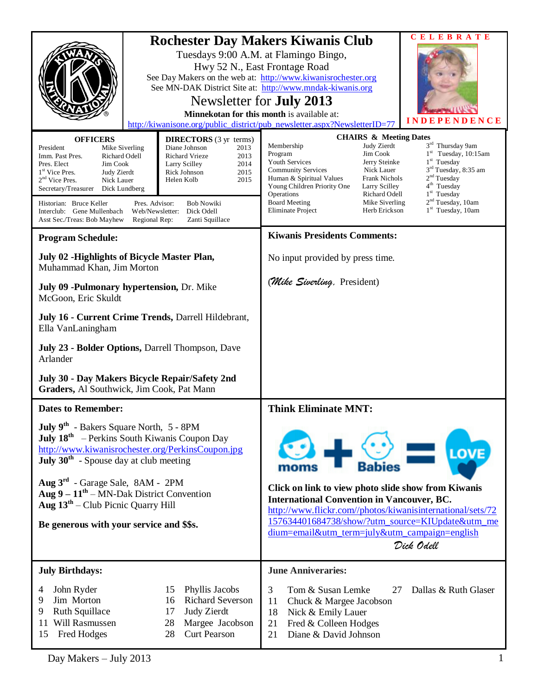|                                                                                                                                                                                                                                                                                                                                                                                                                                                                                                                                                                                         |  |                                                                                                                                  | CELEBRATE<br><b>Rochester Day Makers Kiwanis Club</b><br>Tuesdays 9:00 A.M. at Flamingo Bingo,<br>Hwy 52 N., East Frontage Road<br>See Day Makers on the web at: http://www.kiwanisrochester.org<br>See MN-DAK District Site at: http://www.mndak-kiwanis.org<br>Newsletter for <b>July 2013</b><br>Minnekotan for this month is available at:<br>DENCE<br>INDE<br>http://kiwanisone.org/public_district/pub_newsletter.aspx?NewsletterID=77                                                                                                                                                                                              |  |
|-----------------------------------------------------------------------------------------------------------------------------------------------------------------------------------------------------------------------------------------------------------------------------------------------------------------------------------------------------------------------------------------------------------------------------------------------------------------------------------------------------------------------------------------------------------------------------------------|--|----------------------------------------------------------------------------------------------------------------------------------|-------------------------------------------------------------------------------------------------------------------------------------------------------------------------------------------------------------------------------------------------------------------------------------------------------------------------------------------------------------------------------------------------------------------------------------------------------------------------------------------------------------------------------------------------------------------------------------------------------------------------------------------|--|
| <b>OFFICERS</b><br><b>DIRECTORS</b> (3 yr terms)<br>Diane Johnson<br>2013<br>President<br>Mike Siverling<br><b>Richard Vrieze</b><br>2013<br>Imm. Past Pres.<br>Richard Odell<br>2014<br>Pres. Elect<br>Jim Cook<br>Larry Scilley<br>1 <sup>st</sup> Vice Pres.<br>2015<br>Judy Zierdt<br>Rick Johnson<br>$2nd$ Vice Pres.<br>2015<br>Nick Lauer<br>Helen Kolb<br>Secretary/Treasurer<br>Dick Lundberg<br>Historian: Bruce Keller<br>Pres. Advisor:<br><b>Bob Nowiki</b><br>Dick Odell<br>Interclub: Gene Mullenbach<br>Web/Newsletter:<br>Asst Sec./Treas: Bob Mayhew<br>Regional Rep: |  | Zanti Squillace                                                                                                                  | <b>CHAIRS &amp; Meeting Dates</b><br>3rd Thursday 9am<br>Membership<br>Judy Zierdt<br>$1st$ Tuesday, 10:15am<br>Jim Cook<br>Program<br>Jerry Steinke<br>$1st$ Tuesday<br><b>Youth Services</b><br>3 <sup>rd</sup> Tuesday, 8:35 am<br><b>Community Services</b><br>Nick Lauer<br>2 <sup>nd</sup> Tuesday<br>Frank Nichols<br>Human & Spiritual Values<br>4 <sup>th</sup> Tuesday<br>Young Children Priority One<br>Larry Scilley<br>$1st$ Tuesday<br>Richard Odell<br>Operations<br>2 <sup>nd</sup> Tuesday, 10am<br><b>Board Meeting</b><br>Mike Siverling<br>1 <sup>st</sup> Tuesday, 10am<br><b>Eliminate Project</b><br>Herb Erickson |  |
| <b>Program Schedule:</b>                                                                                                                                                                                                                                                                                                                                                                                                                                                                                                                                                                |  |                                                                                                                                  | <b>Kiwanis Presidents Comments:</b>                                                                                                                                                                                                                                                                                                                                                                                                                                                                                                                                                                                                       |  |
| July 02 - Highlights of Bicycle Master Plan,<br>Muhammad Khan, Jim Morton                                                                                                                                                                                                                                                                                                                                                                                                                                                                                                               |  |                                                                                                                                  | No input provided by press time.                                                                                                                                                                                                                                                                                                                                                                                                                                                                                                                                                                                                          |  |
| July 09 - Pulmonary hypertension, Dr. Mike<br>McGoon, Eric Skuldt                                                                                                                                                                                                                                                                                                                                                                                                                                                                                                                       |  |                                                                                                                                  | (Mike Sivenling, President)                                                                                                                                                                                                                                                                                                                                                                                                                                                                                                                                                                                                               |  |
| July 16 - Current Crime Trends, Darrell Hildebrant,<br>Ella VanLaningham                                                                                                                                                                                                                                                                                                                                                                                                                                                                                                                |  |                                                                                                                                  |                                                                                                                                                                                                                                                                                                                                                                                                                                                                                                                                                                                                                                           |  |
| July 23 - Bolder Options, Darrell Thompson, Dave<br>Arlander                                                                                                                                                                                                                                                                                                                                                                                                                                                                                                                            |  |                                                                                                                                  |                                                                                                                                                                                                                                                                                                                                                                                                                                                                                                                                                                                                                                           |  |
| July 30 - Day Makers Bicycle Repair/Safety 2nd<br>Graders, Al Southwick, Jim Cook, Pat Mann                                                                                                                                                                                                                                                                                                                                                                                                                                                                                             |  |                                                                                                                                  |                                                                                                                                                                                                                                                                                                                                                                                                                                                                                                                                                                                                                                           |  |
| <b>Dates to Remember:</b>                                                                                                                                                                                                                                                                                                                                                                                                                                                                                                                                                               |  |                                                                                                                                  | <b>Think Eliminate MNT:</b>                                                                                                                                                                                                                                                                                                                                                                                                                                                                                                                                                                                                               |  |
| July 9 <sup>th</sup> - Bakers Square North, 5 - 8PM<br>July 18 <sup>th</sup> – Perkins South Kiwanis Coupon Day<br>http://www.kiwanisrochester.org/PerkinsCoupon.jpg<br>July $30^{\text{th}}$ - Spouse day at club meeting<br>Aug $3^{rd}$ - Garage Sale, 8AM - 2PM<br>Aug $9 - 11^{th}$ – MN-Dak District Convention<br>Aug $13th$ – Club Picnic Quarry Hill<br>Be generous with your service and \$\$s.                                                                                                                                                                               |  |                                                                                                                                  | LOVE<br><b>Babies</b><br>moms<br>Click on link to view photo slide show from Kiwanis<br><b>International Convention in Vancouver, BC.</b><br>http://www.flickr.com//photos/kiwanisinternational/sets/72<br>157634401684738/show/?utm_source=KIUpdate&utm_me                                                                                                                                                                                                                                                                                                                                                                               |  |
|                                                                                                                                                                                                                                                                                                                                                                                                                                                                                                                                                                                         |  |                                                                                                                                  | dium=email&utm_term=july&utm_campaign=english<br>Dick Odell                                                                                                                                                                                                                                                                                                                                                                                                                                                                                                                                                                               |  |
| <b>July Birthdays:</b>                                                                                                                                                                                                                                                                                                                                                                                                                                                                                                                                                                  |  |                                                                                                                                  | <b>June Anniveraries:</b>                                                                                                                                                                                                                                                                                                                                                                                                                                                                                                                                                                                                                 |  |
| John Ryder<br>4<br>Jim Morton<br>9<br>Ruth Squillace<br>9<br>Will Rasmussen<br>11<br>Fred Hodges<br>15                                                                                                                                                                                                                                                                                                                                                                                                                                                                                  |  | Phyllis Jacobs<br>15<br><b>Richard Severson</b><br>16<br>Judy Zierdt<br>17<br>28<br>Margee Jacobson<br>28<br><b>Curt Pearson</b> | 3<br>Tom & Susan Lemke<br>Dallas & Ruth Glaser<br>27<br>11<br>Chuck & Margee Jacobson<br>18<br>Nick & Emily Lauer<br>Fred & Colleen Hodges<br>21<br>21<br>Diane & David Johnson                                                                                                                                                                                                                                                                                                                                                                                                                                                           |  |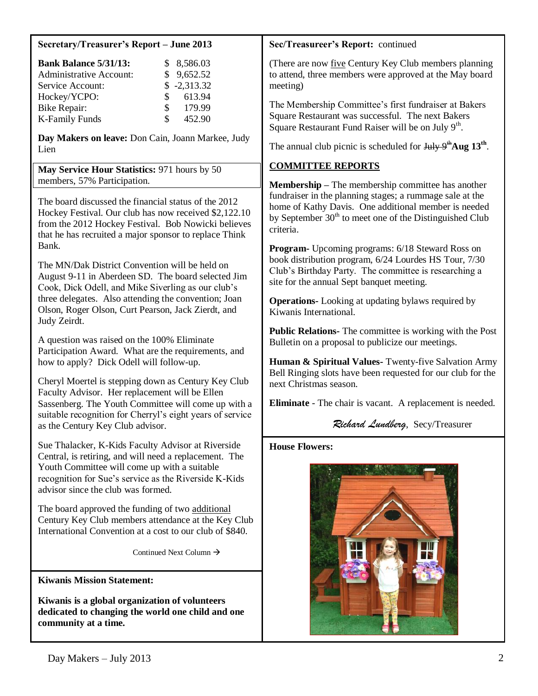| Secretary/Treasurer's Report - June 2013 |  |
|------------------------------------------|--|
|                                          |  |

| <b>Bank Balance 5/31/13:</b>   |                 | \$8,586.03    |
|--------------------------------|-----------------|---------------|
| <b>Administrative Account:</b> |                 | \$9,652.52    |
| Service Account:               |                 | $$ -2,313.32$ |
| Hockey/YCPO:                   | $\mathcal{S}^-$ | 613.94        |
| Bike Repair:                   | S.              | 179.99        |
| <b>K-Family Funds</b>          | S.              | 452.90        |

**Day Makers on leave:** Don Cain, Joann Markee, Judy Lien

**May Service Hour Statistics:** 971 hours by 50 members, 57% Participation.

The board discussed the financial status of the 2012 Hockey Festival. Our club has now received \$2,122.10 from the 2012 Hockey Festival. Bob Nowicki believes that he has recruited a major sponsor to replace Think Bank.

The MN/Dak District Convention will be held on August 9-11 in Aberdeen SD. The board selected Jim Cook, Dick Odell, and Mike Siverling as our club's three delegates. Also attending the convention; Joan Olson, Roger Olson, Curt Pearson, Jack Zierdt, and Judy Zeirdt.

A question was raised on the 100% Eliminate Participation Award. What are the requirements, and how to apply? Dick Odell will follow-up.

Cheryl Moertel is stepping down as Century Key Club Faculty Advisor. Her replacement will be Ellen Sassenberg. The Youth Committee will come up with a suitable recognition for Cherryl's eight years of service as the Century Key Club advisor.

Sue Thalacker, K-Kids Faculty Advisor at Riverside Central, is retiring, and will need a replacement. The Youth Committee will come up with a suitable recognition for Sue's service as the Riverside K-Kids advisor since the club was formed.

The board approved the funding of two additional Century Key Club members attendance at the Key Club International Convention at a cost to our club of \$840.

Continued Next Column  $\rightarrow$ 

**Kiwanis Mission Statement:**

**Kiwanis is a global organization of volunteers dedicated to changing the world one child and one community at a time.**

### **Sec/Treasureer's Report:** continued

(There are now five Century Key Club members planning to attend, three members were approved at the May board meeting)

The Membership Committee's first fundraiser at Bakers Square Restaurant was successful. The next Bakers Square Restaurant Fund Raiser will be on July  $9<sup>th</sup>$ .

The annual club picnic is scheduled for  $Ju$ <sub>y</sub>  $9<sup>th</sup>$ Aug 13<sup>th</sup>.

## **COMMITTEE REPORTS**

**Membership –** The membership committee has another fundraiser in the planning stages; a rummage sale at the home of Kathy Davis. One additional member is needed by September  $30<sup>th</sup>$  to meet one of the Distinguished Club criteria.

**Program-** Upcoming programs: 6/18 Steward Ross on book distribution program, 6/24 Lourdes HS Tour, 7/30 Club's Birthday Party. The committee is researching a site for the annual Sept banquet meeting.

**Operations-** Looking at updating bylaws required by Kiwanis International.

**Public Relations-** The committee is working with the Post Bulletin on a proposal to publicize our meetings.

**Human & Spiritual Values-** Twenty-five Salvation Army Bell Ringing slots have been requested for our club for the next Christmas season.

**Eliminate** - The chair is vacant. A replacement is needed.

## *Richard Lundberg*, Secy/Treasurer

#### **House Flowers:**

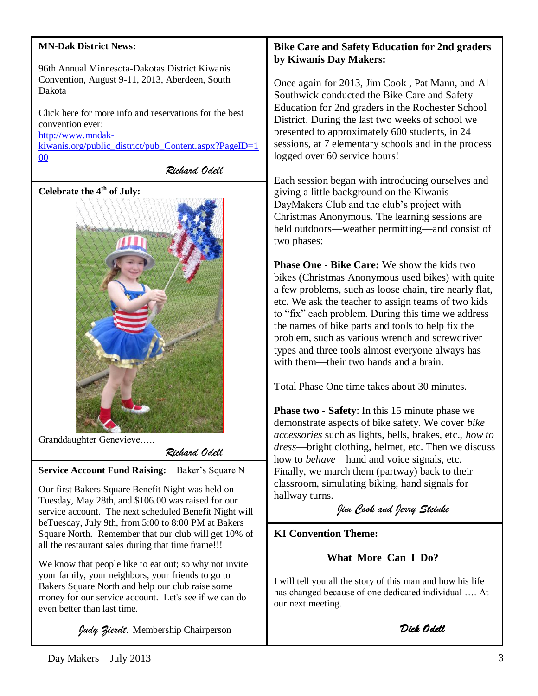| <b>MN-Dak District News:</b>                                                                               |  |  |
|------------------------------------------------------------------------------------------------------------|--|--|
| 96th Annual Minnesota-Dakotas District Kiwanis<br>Convention, August 9-11, 2013, Aberdeen, South<br>Dakota |  |  |
| Click here for more info and reservations for the best<br>convention ever:                                 |  |  |
| http://www.mndak-<br>kiwanis.org/public_district/pub_Content.aspx?PageID=1                                 |  |  |
| 00<br>Richard Odell                                                                                        |  |  |

**Celebrate the 4th of July:**



Granddaughter Genevieve…..

*Richard Odell*

**Service Account Fund Raising:** Baker's Square N

Our first Bakers Square Benefit Night was held on Tuesday, May 28th, and \$106.00 was raised for our service account. The next scheduled Benefit Night will beTuesday, July 9th, from 5:00 to 8:00 PM at Bakers Square North. Remember that our club will get 10% of all the restaurant sales during that time frame!!!

We know that people like to eat out; so why not invite your family, your neighbors, your friends to go to Bakers Square North and help our club raise some money for our service account. Let's see if we can do even better than last time.

*Judy Zierdt,* Membership Chairperson

## **Bike Care and Safety Education for 2nd graders by Kiwanis Day Makers:**

e again for 2013, Jim Cook, Pat Mann, and Al thwick conducted the Bike Care and Safety cation for 2nd graders in the Rochester School trict. During the last two weeks of school we ented to approximately 600 students, in 24 ships, at 7 elementary schools and in the process ed over 60 service hours!

Each session began with introducing ourselves and giving a little background on the Kiwanis DayMakers Club and the club's project with Christmas Anonymous. The learning sessions are held outdoors—weather permitting—and consist of two phases:

**Phase One - Bike Care:** We show the kids two bikes (Christmas Anonymous used bikes) with quite a few problems, such as loose chain, tire nearly flat, etc. We ask the teacher to assign teams of two kids to "fix" each problem. During this time we address the names of bike parts and tools to help fix the problem, such as various wrench and screwdriver types and three tools almost everyone always has with them—their two hands and a brain.

Total Phase One time takes about 30 minutes.

**Phase two - Safety**: In this 15 minute phase we demonstrate aspects of bike safety. We cover *bike accessories* such as lights, bells, brakes, etc., *how to dress*—bright clothing, helmet, etc. Then we discuss how to *behave*—hand and voice signals, etc. Finally, we march them (partway) back to their classroom, simulating biking, hand signals for hallway turns.

*Jim Cook and Jerry Steinke*

# **KI Convention Theme:**

 **What More Can I Do?**

I will tell you all the story of this man and how his life has changed because of one dedicated individual …. At our next meeting.